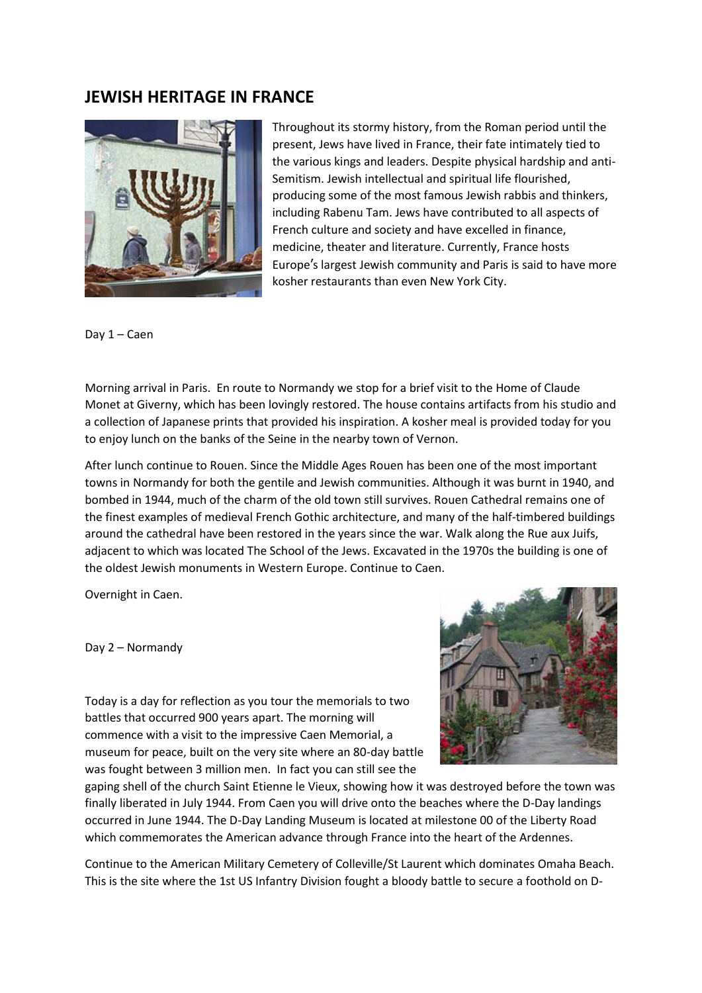## **JEWISH HERITAGE IN FRANCE**



Throughout its stormy history, from the Roman period until the present, Jews have lived in France, their fate intimately tied to the various kings and leaders. Despite physical hardship and anti-Semitism. Jewish intellectual and spiritual life flourished, producing some of the most famous Jewish rabbis and thinkers, including Rabenu Tam. Jews have contributed to all aspects of French culture and society and have excelled in finance, medicine, theater and literature. Currently, France hosts Europe's largest Jewish community and Paris is said to have more kosher restaurants than even New York City.

Day 1 – Caen

Morning arrival in Paris. En route to Normandy we stop for a brief visit to the Home of Claude Monet at Giverny, which has been lovingly restored. The house contains artifacts from his studio and a collection of Japanese prints that provided his inspiration. A kosher meal is provided today for you to enjoy lunch on the banks of the Seine in the nearby town of Vernon.

After lunch continue to Rouen. Since the Middle Ages Rouen has been one of the most important towns in Normandy for both the gentile and Jewish communities. Although it was burnt in 1940, and bombed in 1944, much of the charm of the old town still survives. Rouen Cathedral remains one of the finest examples of medieval French Gothic architecture, and many of the half-timbered buildings around the cathedral have been restored in the years since the war. Walk along the Rue aux Juifs, adjacent to which was located The School of the Jews. Excavated in the 1970s the building is one of the oldest Jewish monuments in Western Europe. Continue to Caen.

Overnight in Caen.

Day 2 – Normandy



Today is a day for reflection as you tour the memorials to two battles that occurred 900 years apart. The morning will commence with a visit to the impressive Caen Memorial, a museum for peace, built on the very site where an 80-day battle was fought between 3 million men. In fact you can still see the

gaping shell of the church Saint Etienne le Vieux, showing how it was destroyed before the town was finally liberated in July 1944. From Caen you will drive onto the beaches where the D-Day landings occurred in June 1944. The D-Day Landing Museum is located at milestone 00 of the Liberty Road which commemorates the American advance through France into the heart of the Ardennes.

Continue to the American Military Cemetery of Colleville/St Laurent which dominates Omaha Beach. This is the site where the 1st US Infantry Division fought a bloody battle to secure a foothold on D-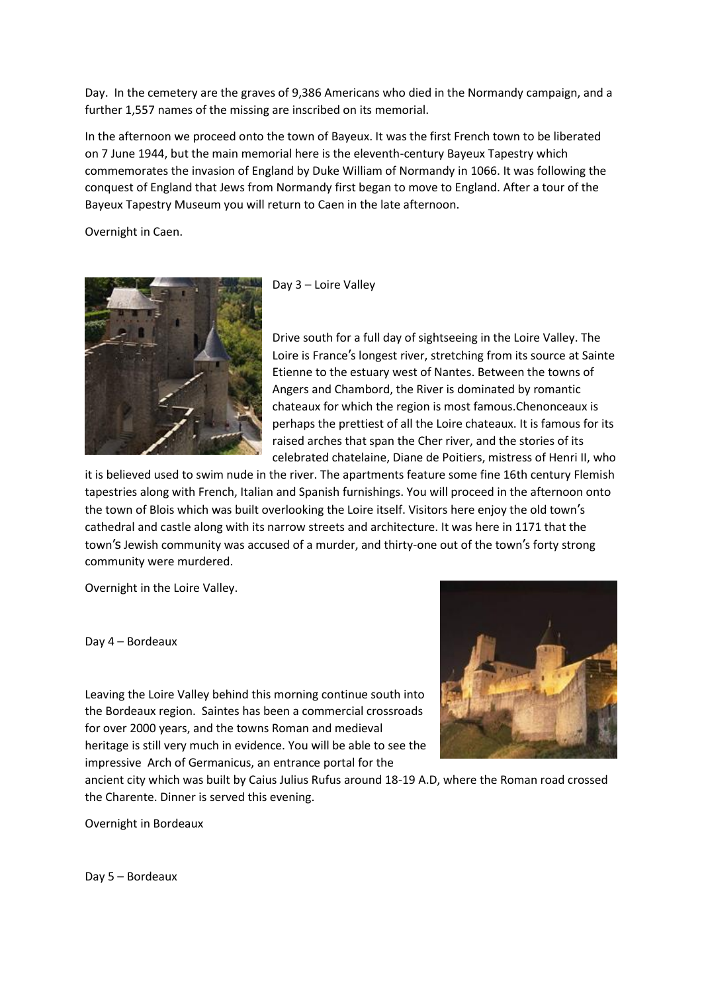Day. In the cemetery are the graves of 9,386 Americans who died in the Normandy campaign, and a further 1,557 names of the missing are inscribed on its memorial.

In the afternoon we proceed onto the town of Bayeux. It was the first French town to be liberated on 7 June 1944, but the main memorial here is the eleventh-century Bayeux Tapestry which commemorates the invasion of England by Duke William of Normandy in 1066. It was following the conquest of England that Jews from Normandy first began to move to England. After a tour of the Bayeux Tapestry Museum you will return to Caen in the late afternoon.

Overnight in Caen.





Drive south for a full day of sightseeing in the Loire Valley. The Loire is France's longest river, stretching from its source at Sainte Etienne to the estuary west of Nantes. Between the towns of Angers and Chambord, the River is dominated by romantic chateaux for which the region is most famous.Chenonceaux is perhaps the prettiest of all the Loire chateaux. It is famous for its raised arches that span the Cher river, and the stories of its celebrated chatelaine, Diane de Poitiers, mistress of Henri II, who

it is believed used to swim nude in the river. The apartments feature some fine 16th century Flemish tapestries along with French, Italian and Spanish furnishings. You will proceed in the afternoon onto the town of Blois which was built overlooking the Loire itself. Visitors here enjoy the old town's cathedral and castle along with its narrow streets and architecture. It was here in 1171 that the town's Jewish community was accused of a murder, and thirty-one out of the town's forty strong community were murdered.

Overnight in the Loire Valley.

Day 4 – Bordeaux

Leaving the Loire Valley behind this morning continue south into the Bordeaux region. Saintes has been a commercial crossroads for over 2000 years, and the towns Roman and medieval heritage is still very much in evidence. You will be able to see the impressive Arch of Germanicus, an entrance portal for the



ancient city which was built by Caius Julius Rufus around 18-19 A.D, where the Roman road crossed the Charente. Dinner is served this evening.

Overnight in Bordeaux

Day 5 – Bordeaux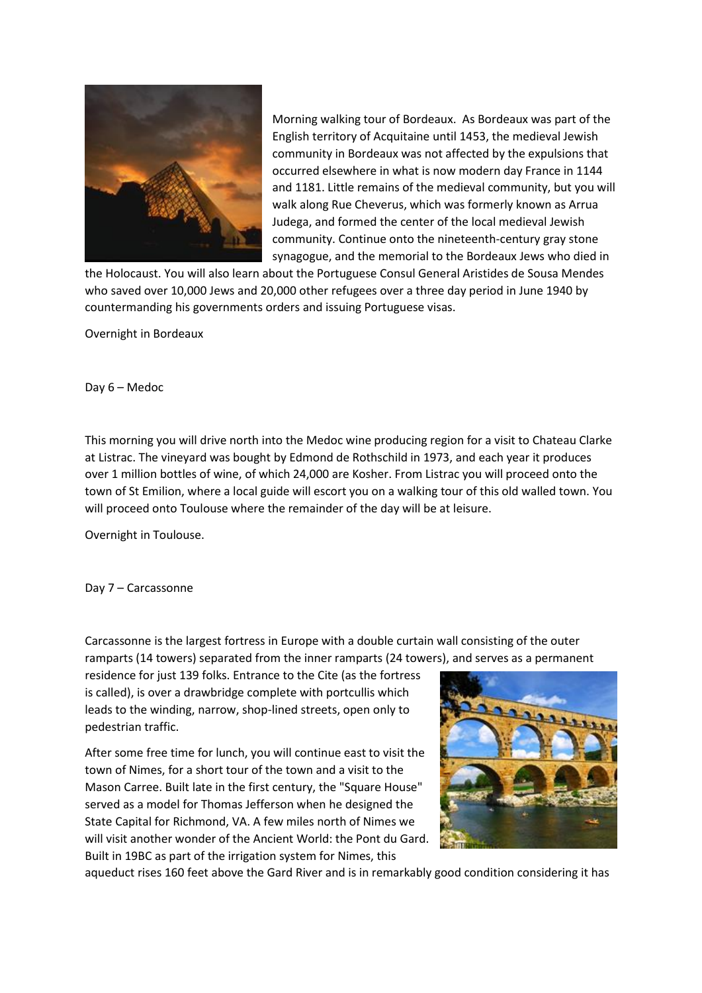

Morning walking tour of Bordeaux. As Bordeaux was part of the English territory of Acquitaine until 1453, the medieval Jewish community in Bordeaux was not affected by the expulsions that occurred elsewhere in what is now modern day France in 1144 and 1181. Little remains of the medieval community, but you will walk along Rue Cheverus, which was formerly known as Arrua Judega, and formed the center of the local medieval Jewish community. Continue onto the nineteenth-century gray stone synagogue, and the memorial to the Bordeaux Jews who died in

the Holocaust. You will also learn about the Portuguese Consul General Aristides de Sousa Mendes who saved over 10,000 Jews and 20,000 other refugees over a three day period in June 1940 by countermanding his governments orders and issuing Portuguese visas.

Overnight in Bordeaux

Day 6 – Medoc

This morning you will drive north into the Medoc wine producing region for a visit to Chateau Clarke at Listrac. The vineyard was bought by Edmond de Rothschild in 1973, and each year it produces over 1 million bottles of wine, of which 24,000 are Kosher. From Listrac you will proceed onto the town of St Emilion, where a local guide will escort you on a walking tour of this old walled town. You will proceed onto Toulouse where the remainder of the day will be at leisure.

Overnight in Toulouse.

Day 7 – Carcassonne

Carcassonne is the largest fortress in Europe with a double curtain wall consisting of the outer ramparts (14 towers) separated from the inner ramparts (24 towers), and serves as a permanent

residence for just 139 folks. Entrance to the Cite (as the fortress is called), is over a drawbridge complete with portcullis which leads to the winding, narrow, shop-lined streets, open only to pedestrian traffic.

After some free time for lunch, you will continue east to visit the town of Nimes, for a short tour of the town and a visit to the Mason Carree. Built late in the first century, the "Square House" served as a model for Thomas Jefferson when he designed the State Capital for Richmond, VA. A few miles north of Nimes we will visit another wonder of the Ancient World: the Pont du Gard. Built in 19BC as part of the irrigation system for Nimes, this



aqueduct rises 160 feet above the Gard River and is in remarkably good condition considering it has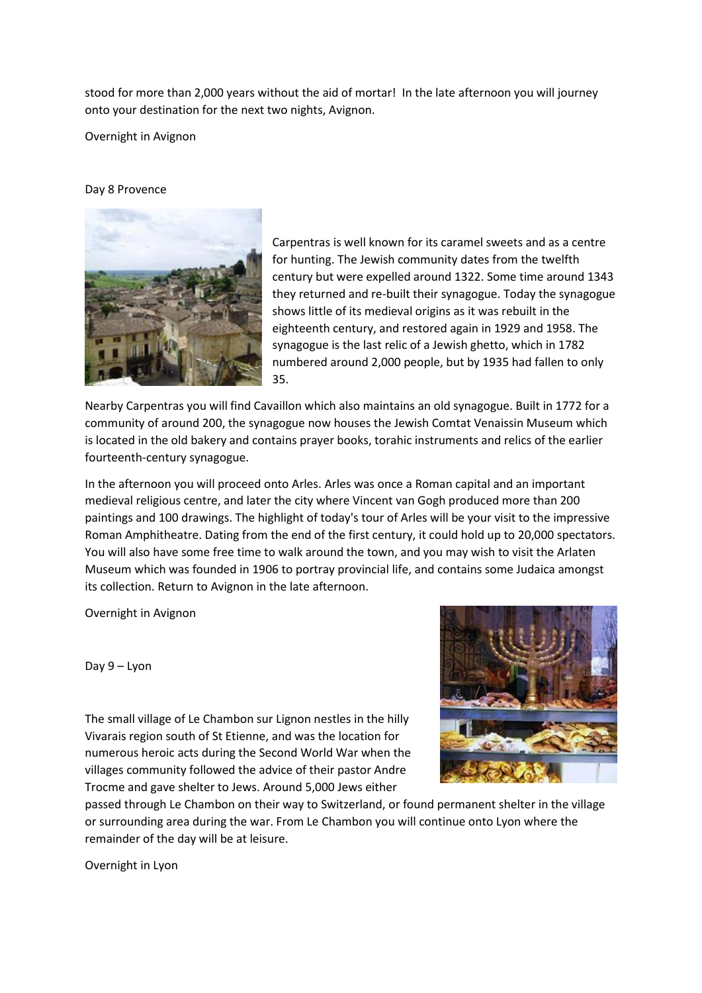stood for more than 2,000 years without the aid of mortar! In the late afternoon you will journey onto your destination for the next two nights, Avignon.

Overnight in Avignon

## Day 8 Provence



Carpentras is well known for its caramel sweets and as a centre for hunting. The Jewish community dates from the twelfth century but were expelled around 1322. Some time around 1343 they returned and re-built their synagogue. Today the synagogue shows little of its medieval origins as it was rebuilt in the eighteenth century, and restored again in 1929 and 1958. The synagogue is the last relic of a Jewish ghetto, which in 1782 numbered around 2,000 people, but by 1935 had fallen to only 35.

Nearby Carpentras you will find Cavaillon which also maintains an old synagogue. Built in 1772 for a community of around 200, the synagogue now houses the Jewish Comtat Venaissin Museum which is located in the old bakery and contains prayer books, torahic instruments and relics of the earlier fourteenth-century synagogue.

In the afternoon you will proceed onto Arles. Arles was once a Roman capital and an important medieval religious centre, and later the city where Vincent van Gogh produced more than 200 paintings and 100 drawings. The highlight of today's tour of Arles will be your visit to the impressive Roman Amphitheatre. Dating from the end of the first century, it could hold up to 20,000 spectators. You will also have some free time to walk around the town, and you may wish to visit the Arlaten Museum which was founded in 1906 to portray provincial life, and contains some Judaica amongst its collection. Return to Avignon in the late afternoon.

Overnight in Avignon

Day 9 – Lyon

The small village of Le Chambon sur Lignon nestles in the hilly Vivarais region south of St Etienne, and was the location for numerous heroic acts during the Second World War when the villages community followed the advice of their pastor Andre Trocme and gave shelter to Jews. Around 5,000 Jews either



passed through Le Chambon on their way to Switzerland, or found permanent shelter in the village or surrounding area during the war. From Le Chambon you will continue onto Lyon where the remainder of the day will be at leisure.

Overnight in Lyon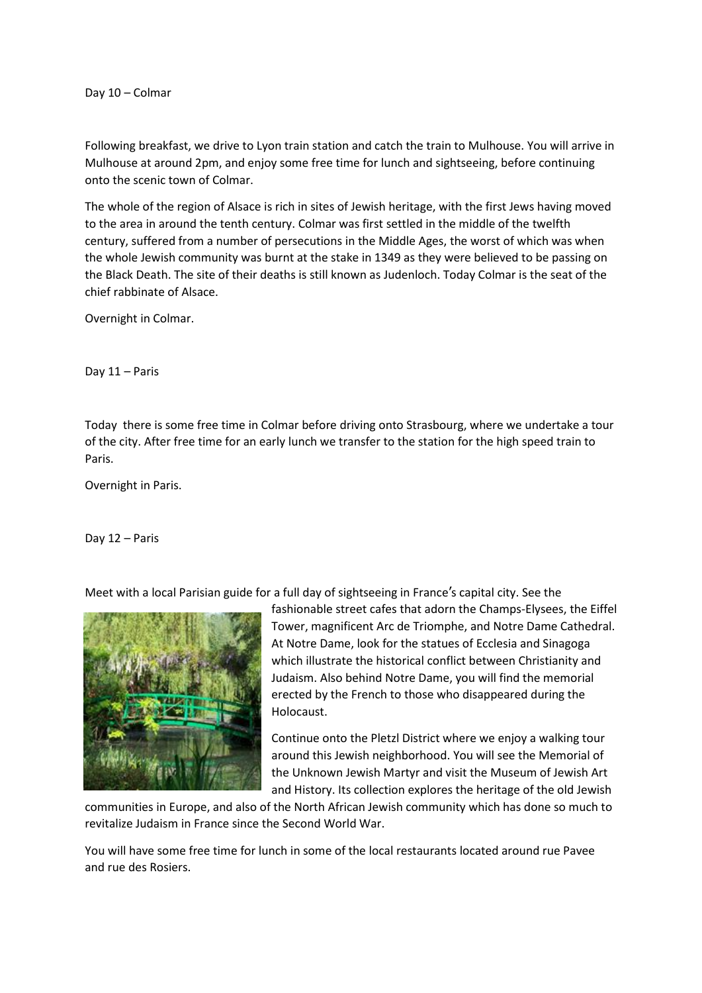Day 10 – Colmar

Following breakfast, we drive to Lyon train station and catch the train to Mulhouse. You will arrive in Mulhouse at around 2pm, and enjoy some free time for lunch and sightseeing, before continuing onto the scenic town of Colmar.

The whole of the region of Alsace is rich in sites of Jewish heritage, with the first Jews having moved to the area in around the tenth century. Colmar was first settled in the middle of the twelfth century, suffered from a number of persecutions in the Middle Ages, the worst of which was when the whole Jewish community was burnt at the stake in 1349 as they were believed to be passing on the Black Death. The site of their deaths is still known as Judenloch. Today Colmar is the seat of the chief rabbinate of Alsace.

Overnight in Colmar.

Day 11 – Paris

Today there is some free time in Colmar before driving onto Strasbourg, where we undertake a tour of the city. After free time for an early lunch we transfer to the station for the high speed train to Paris.

Overnight in Paris.

Day 12 – Paris

Meet with a local Parisian guide for a full day of sightseeing in France's capital city. See the



fashionable street cafes that adorn the Champs-Elysees, the Eiffel Tower, magnificent Arc de Triomphe, and Notre Dame Cathedral. At Notre Dame, look for the statues of Ecclesia and Sinagoga which illustrate the historical conflict between Christianity and Judaism. Also behind Notre Dame, you will find the memorial erected by the French to those who disappeared during the Holocaust.

Continue onto the Pletzl District where we enjoy a walking tour around this Jewish neighborhood. You will see the Memorial of the Unknown Jewish Martyr and visit the Museum of Jewish Art and History. Its collection explores the heritage of the old Jewish

communities in Europe, and also of the North African Jewish community which has done so much to revitalize Judaism in France since the Second World War.

You will have some free time for lunch in some of the local restaurants located around rue Pavee and rue des Rosiers.